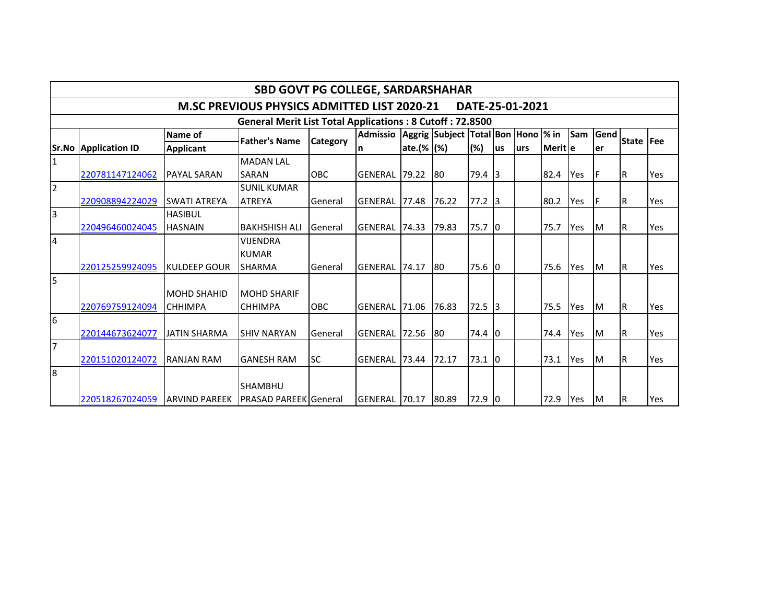|                                                                 | <b>SBD GOVT PG COLLEGE, SARDARSHAHAR</b>                              |                     |                              |            |                         |                   |                                     |          |                 |      |           |     |             |                  |     |
|-----------------------------------------------------------------|-----------------------------------------------------------------------|---------------------|------------------------------|------------|-------------------------|-------------------|-------------------------------------|----------|-----------------|------|-----------|-----|-------------|------------------|-----|
|                                                                 | <b>M.SC PREVIOUS PHYSICS ADMITTED LIST 2020-21</b><br>DATE-25-01-2021 |                     |                              |            |                         |                   |                                     |          |                 |      |           |     |             |                  |     |
| <b>General Merit List Total Applications: 8 Cutoff: 72.8500</b> |                                                                       |                     |                              |            |                         |                   |                                     |          |                 |      |           |     |             |                  |     |
|                                                                 |                                                                       | Name of             | <b>Father's Name</b>         | Category   | <b>Admissio</b>         |                   | Aggrig Subject Total Bon Hono  % in |          |                 |      |           | Sam | <b>Gend</b> | State <b>Fee</b> |     |
|                                                                 | <b>Sr.No Application ID</b>                                           | <b>Applicant</b>    |                              |            | n                       | ate. $(\%   (\%)$ |                                     | (%)      | lus             | lurs | lMerit le |     | ler         |                  |     |
| $\mathbf{1}$                                                    |                                                                       |                     | <b>MADAN LAL</b>             |            |                         |                   |                                     |          |                 |      |           |     |             |                  |     |
|                                                                 | 220781147124062                                                       | <b>PAYAL SARAN</b>  | <b>SARAN</b>                 | <b>OBC</b> | <b>GENERAL</b>          | 79.22             | 180                                 | 79.4     | 13              |      | 82.4      | Yes | IF          | lR.              | Yes |
| $\overline{2}$                                                  |                                                                       |                     | <b>SUNIL KUMAR</b>           |            |                         |                   |                                     |          |                 |      |           |     |             |                  |     |
|                                                                 | 220908894224029                                                       | <b>SWATI ATREYA</b> | <b>ATREYA</b>                | General    | IGENERAL 177.48         |                   | 76.22                               | $77.2$ 3 |                 |      | 80.2      | Yes | IF          | IR.              | Yes |
| $\vert$ 3                                                       |                                                                       | <b>HASIBUL</b>      |                              |            |                         |                   |                                     |          |                 |      |           |     |             |                  |     |
|                                                                 | 220496460024045                                                       | <b>HASNAIN</b>      | <b>BAKHSHISH ALI</b>         | General    | IGENERAL 174.33         |                   | 79.83                               | 75.7 0   |                 |      | 75.7      | Yes | Iм          | IR.              | Yes |
| $\overline{4}$                                                  |                                                                       |                     | <b>VIJENDRA</b>              |            |                         |                   |                                     |          |                 |      |           |     |             |                  |     |
|                                                                 |                                                                       |                     | <b>KUMAR</b>                 |            |                         |                   |                                     |          |                 |      |           |     |             |                  |     |
|                                                                 | 220125259924095                                                       | IKULDEEP GOUR       | <b>SHARMA</b>                | General    | IGENERAL <b>1</b> 74.17 |                   | 180                                 | 75.6 0   |                 |      | 75.6      | Yes | Iм          | lR.              | Yes |
| $\overline{5}$                                                  |                                                                       |                     |                              |            |                         |                   |                                     |          |                 |      |           |     |             |                  |     |
|                                                                 |                                                                       | <b>MOHD SHAHID</b>  | <b>MOHD SHARIF</b>           |            |                         |                   |                                     |          |                 |      |           |     |             |                  |     |
|                                                                 | 220769759124094                                                       | <b>CHHIMPA</b>      | <b>CHHIMPA</b>               | <b>OBC</b> | <b>GENERAL</b>          | 71.06             | 76.83                               | 72.5     | $\overline{13}$ |      | 75.5      | Yes | Iм          | lR.              | Yes |
| $\overline{6}$                                                  |                                                                       |                     |                              |            |                         |                   |                                     |          |                 |      |           |     |             |                  |     |
|                                                                 | 220144673624077                                                       | <b>JATIN SHARMA</b> | <b>SHIV NARYAN</b>           | General    | <b>GENERAL</b>          | 72.56             | 180                                 | 74.4     | 10              |      | 74.4      | Yes | Iм          | R                | Yes |
| 7                                                               |                                                                       |                     |                              |            |                         |                   |                                     |          |                 |      |           |     |             |                  |     |
|                                                                 | 220151020124072                                                       | <b>RANJAN RAM</b>   | <b>GANESH RAM</b>            | <b>SC</b>  | <b>GENERAL</b>          | 73.44             | 72.17                               | 73.1     | Iо              |      | 73.1      | Yes | Iм          | IR.              | Yes |
| 8                                                               |                                                                       |                     |                              |            |                         |                   |                                     |          |                 |      |           |     |             |                  |     |
|                                                                 |                                                                       |                     | <b>SHAMBHU</b>               |            |                         |                   |                                     |          |                 |      |           |     |             |                  |     |
|                                                                 | 220518267024059                                                       | IARVIND PAREEK      | <b>PRASAD PAREEK General</b> |            | GENERAL 70.17 80.89     |                   |                                     | 72.9 0   |                 |      | 72.9      | Yes | Iм          | lR.              | Yes |